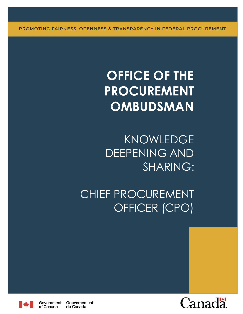PROMOTING FAIRNESS, OPENNESS & TRANSPARENCY IN FEDERAL PROCUREMENT

# **OFFICE OF THE PROCUREMENT OMBUDSMAN**

KNOWLEDGE DEEPENING AND SHARING:

CHIEF PROCUREMENT OFFICER (CPO)



Government Gouvernement of Canada du Canada

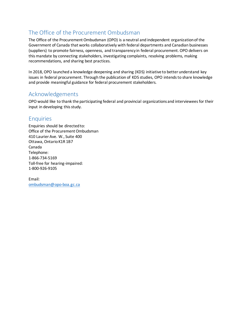# <span id="page-1-0"></span>The Office of the Procurement Ombudsman

The Office of the Procurement Ombudsman (OPO) is a neutral and independent organization of the Government of Canada that works collaboratively with federal departments and Canadian businesses (suppliers) to promote fairness, openness, and transparency in federal procurement. OPO delivers on this mandate by connecting stakeholders, investigating complaints, resolving problems, making recommendations, and sharing best practices.

In 2018, OPO launched a knowledge deepening and sharing (KDS) initiative to better understand key issues in federal procurement. Through the publication of KDS studies, OPO intends to share knowledge and provide meaningful guidance for federal procurement stakeholders.

# <span id="page-1-1"></span>Acknowledgements

OPO would like to thank the participating federal and provincial organizations and interviewees for their input in developing this study.

# <span id="page-1-2"></span>**Enquiries**

Enquiries should be directed to: Office of the Procurement Ombudsman 410 Laurier Ave. W., Suite 400 Ottawa, Ontario K1R 1B7 Canada Telephone: 1-866-734-5169 Toll-free for hearing-impaired: 1-800-926-9105

Email: [ombudsman@opo-boa.gc.ca](mailto:ombudsman@opo-boa.gc.ca)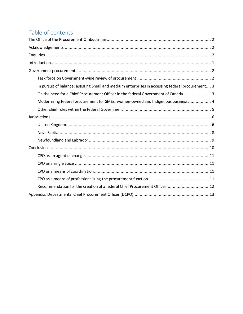# Table of contents

| In pursuit of balance: assisting Small and medium enterprises in accessing federal procurement 3 |
|--------------------------------------------------------------------------------------------------|
| On the need for a Chief Procurement Officer in the federal Government of Canada  3               |
| Modernizing federal procurement for SMEs, women-owned and Indigenous business  4                 |
|                                                                                                  |
|                                                                                                  |
|                                                                                                  |
|                                                                                                  |
|                                                                                                  |
|                                                                                                  |
|                                                                                                  |
|                                                                                                  |
|                                                                                                  |
|                                                                                                  |
| Recommendation for the creation of a federal Chief Procurement Officer 12                        |
|                                                                                                  |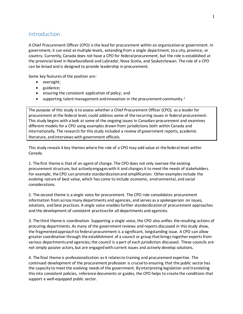# <span id="page-3-0"></span>**Introduction**

A Chief Procurement Officer (CPO) is the lead for procurement within an organization or government. In government, it can exist at multiple levels, extending from a single department, to a city, province, or country. Currently, Canada does not have a CPO for federal procurement, but the role is established at the provincial level in Newfoundland and Labrador, Nova Scotia, and Saskatchewan. The role of a CPO can be broad and is designed to provide leadership in procurement.

Some key features of the position are:

- oversight;
- guidance;
- ensuring the consistent application of policy; and
- <span id="page-3-1"></span> $\bullet$  supporting talent management and innovation in the procurement community.<sup>1</sup>

The purpose of this study is to assess whether a Chief Procurement Officer (CPO), as a leader for procurement at the federal level, could address some of the recurring issues in federal procurement. This study begins with a look at some of the ongoing issues in Canadian procurement and examines different models for a CPO using examples drawn from jurisdictions both within Canada and internationally. The research for this study included a review of government reports, academic literature, and interviews with government officials.

This study reveals 4 key themes where the role of a CPO may add value at the federal level within Canada.

1. The first theme is that of an agent of change. The CPO does not only oversee the existing procurement structure, but actively engageswith it and changesit to meet the needs of stakeholders. For example, the CPO can promote standardization and simplification. Other examples include the evolving nature of best value, which has come to include economic, environmental, and social considerations.

2. The second theme is a single voice for procurement. The CPO role consolidates procurement information from across many departments and agencies, and serves as a spokesperson on issues, solutions, and best practices. A single voice enables further standardization of procurement approaches and the development of consistent practices for all departments and agencies.

3. The third theme is coordination. Supporting a single voice, the CPO also unifies the resulting actions of procuring departments. As many of the government reviews and reports discussed in this study show, the fragmented approach to federal procurement is a significant, longstanding issue. A CPO can allow greater coordination through the establishment of a council or group that brings together experts from various departments and agencies; the council is a part of each jurisdiction discussed. These councils are not simply passive actors, but are engaged with current issues and actively develop solutions.

4. The final theme is professionalization as it relates to training and procurement expertise. The continued development of the procurement profession is crucial to ensuring that the public sector has the capacity to meet the evolving needs of the government. By interpreting legislation and translating this into consistent policies, reference documents or guides, the CPO helps to create the conditions that support a well-equipped public sector.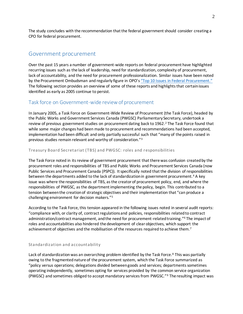The study concludes with the recommendation that the federal government should consider creating a CPO for federal procurement.

# <span id="page-4-0"></span>Government procurement

Over the past 15 years a number of government-wide reports on federal procurement have highlighted recurring issues such as the lack of leadership, need for standardization, complexity of procurement, lack of accountability, and the need for procurement professionalization. Similar issues have been noted by the Procurement Ombudsman and regularly figure in OPO's "Top 10 Issues [in Federal Procurement."](http://opo-boa.gc.ca/repann-annrep-eng.html) The following section provides an overview of some of these reports and highlights that certain issues identified as early as 2005 continue to persist.

# <span id="page-4-1"></span>Task force on Government-wide review of procurement

In January 2005, a Task Force on Government-Wide Review of Procurement (the Task Force), headed by the Public Works and Government Services Canada (PWGSC) Parliamentary Secretary, undertook a review of previous government studies on procurement dating back to 1962. <sup>2</sup> The Task Force found that while some major changes had been made to procurement and recommendations had been accepted, implementation had been difficult and only partially successful such that "many of the points raised in previous studies remain relevant and worthy of consideration."<sup>3</sup>

#### Treasury Board Secretariat (TBS) and PWGSC: roles and responsibilities

<span id="page-4-3"></span>The Task Force noted in its review of government procurement that there was confusion created by the procurement roles and responsibilities of TBS and Public Works and Procurement Services Canada (now Public Services and Procurement Canada (PSPC)). It specifically noted that the division of responsibilities between the departments added to the lack of standardization in government procurement.<sup>4</sup> A key issue was where the responsibilities of TBS, as the creator of procurement policy, end, and where the responsibilities of PWGSC, as the department implementing the policy, begin. This contributed to a tension between the creation of strategic objectives and their implementation that "can produce a challenging environment for decision makers."<sup>5</sup>

According to the Task Force, this tension appeared in the following issues noted in several audit reports: "compliance with, or clarity of, contract regulations and policies, responsibilities related to contract administration/contract management, and the need for procurement-related training."<sup>6</sup> The impact of roles and accountabilities also hindered the development of clear objectives, which support the achievement of objectives and the mobilisation of the resources required to achieve them.<sup>7</sup>

#### Standardization and accountability

<span id="page-4-2"></span>Lack of standardization was an overarching problem identified by the Task Force.<sup>8</sup> This was partially owing to the fragmented nature of the procurement system, which the Task Force summarized as "policy versus operations; delegations divided between goods and services; departments sometimes operating independently, sometimes opting for services provided by the common service organization (PWGSC) and sometimes obliged to accept mandatory services from PWGSC."<sup>9</sup> The resulting impact was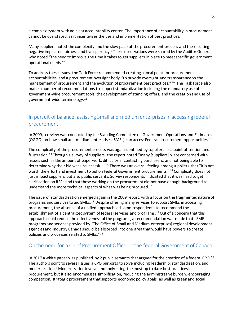a complex system with no clear accountability center. The importance of accountability in procurement cannot be overstated, as it incentivizes the use and implementation of best practices.

Many suppliers noted the complexity and the slow pace of the procurement process and the resulting negative impact on fairness and transparenc[y.](#page-4-2)<sup>8</sup> These observations were shared by the Auditor General, who noted "the need to improve the time it takes to get suppliers in place to meet specific government operational needs."[4](#page-4-3)

To address these issues, the Task Force recommended creating a focal point for procurement accountabilities, and a procurement oversight body "to provide oversight and transparency on the management of procurement and the evolution of procurement best practices."<sup>10</sup> The Task Force also made a number of recommendations to support standardization including the mandatory use of government-wide procurement tools, the development of standing offers, and the creation and use of government-wide terminology.<sup>11</sup>

# <span id="page-5-0"></span>In pursuit of balance: assisting Small and medium enterprises in accessing federal procurement

In 2009, a review was conducted by the Standing Committee on Government Operations and Estimates (OGGO) on how small and medium enterprises (SMEs) can access Federal procurement opportunities. <sup>12</sup>

<span id="page-5-2"></span>The complexity of the procurement process was again identified by suppliers as a point of tension and frustration.<sup>13</sup> Through a survey of suppliers, the report noted "many [suppliers] were concerned with 'issues such as the amount of paperwork, difficulty in contacting purchasers, and not being able to determine why their bid was unsuccessful."<sup>[13](#page-5-2)</sup> There was an overall feeling among suppliers that "it is not worth the effort and investment to bid on Federal Government procurements."<sup>14</sup> Complexity does not just impact suppliers but also public servants. Survey respondents indicated that it was hard to get clarification on RFPs and that those working on the procurement did not have enough background to understand the more technical aspects of what was being procured. [13](#page-5-2)

<span id="page-5-3"></span>The issue of standardization emergedagain in the 2009 report, with a focus on the fragmented nature of programs and services to aid SMEs.<sup>15</sup> Despite offering many services to support SMEs in accessing procurement, the absence of a unified approach led some respondents to recommend the establishment of a centralized system of federal services and programs. [15](#page-5-3) Out of a concern that this approach could reduce the effectiveness of the programs, a recommendation was made that "SME programs and services provided by [The Office of Small and Medium enterprises] regional development agencies and Industry Canada should be absorbed into one area that would have powers to create policies and processes related to SMEs."<sup>16</sup>

# <span id="page-5-1"></span>On the need for a Chief Procurement Officer in the federal Government of Canada

In 2017 a white paper was published by 2 public servants that argued for the creation of a federal CPO.<sup>17</sup> The authors point to several issues a CPO purports to solve including leadership, standardization, and modernization[.](#page-3-1)<sup>1</sup> Modernization involves not only using the most up to date best practices in procurement, but it also encompasses simplification, reducing the administrative burden, encouraging competition, strategic procurement that supports economic policy goals, as well as green and social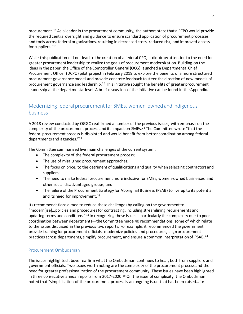procurement.<sup>18</sup> As a leader in the procurement community, the authors state that a "CPO would provide the required central oversight and guidance to ensure standard application of procurement processes and tools across federal organizations, resulting in decreased costs, reduced risk, and improved access for suppliers."<sup>19</sup>

While this publication did not lead to the creation of a federal CPO, it did draw attention to the need for greater procurement leadership to realize the goals of procurement modernization. Building on the ideas in the paper, the Office of the Comptroller General (OCG) launched a Departmental Chief Procurement Officer (DCPO) pilot project in February 2019 to explore the benefits of a more structured procurement governance model and provide concrete feedback to steer the direction of new models of procurement governance and leadership.<sup>20</sup> This initiative sought the benefits of greater procurement leadership at the departmental level. A brief discussion of the initiative can be found in the Appendix.

# <span id="page-6-0"></span>Modernizing federal procurement for SMEs, women-owned and Indigenous business

A 2018 review conducted by OGGO reaffirmed a number of the previous issues, with emphasis on the complexity of the procurement process and its impact on SMEs.<sup>21</sup> The Committee wrote "that the federal procurement process is disjointed and would benefit from better coordination among federal departments and agencies."<sup>22</sup>

The Committee summarized five main challenges of the current system:

- The complexity of the federal procurement process;
- The use of misaligned procurement approaches;
- The focus on price, to the detriment of qualifications and quality when selecting contractors and suppliers;
- The need to make federal procurement more inclusive for SMEs, women-owned businesses and other social disadvantaged groups; and
- <span id="page-6-1"></span> The failure of the Procurement Strategy for Aboriginal Business (PSAB) to live up to its potential and its need for improvement.<sup>23</sup>

Its recommendations aimed to reduce these challengesby calling on the government to "modern[ize]…policies and procedures for contracting, including streamlining requirements and updating terms and conditions."[23](#page-6-1) In recognizing these issues—particularly the complexity due to poor coordination betweendepartments—the Committee made 40 recommendations, some of which relate to the issues discussed in the previous two reports. For example, it recommended the government provide training for procurement officials, modernize policies and procedures, align procurement practices across departments, simplify procurement, and ensure a common interpretation of PSAB.<sup>24</sup>

#### Procurement Ombudsman

The issues highlighted above reaffirm what the Ombudsman continues to hear, both from suppliers and government officials. Two issues worth noting are the complexity of the procurement process and the need for greater professionalization of the procurement community. These issues have been highlighted in three consecutive annual reports from 2017-2020.<sup>25</sup> On the issue of complexity, the Ombudsman noted that "simplification of the procurement process is an ongoing issue that has been raised…for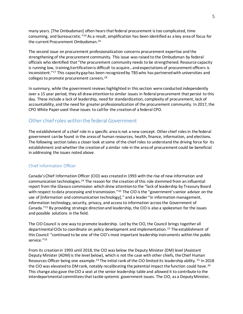<span id="page-7-1"></span>many years. [The Ombudsman] often hears that federal procurement is too complicated, time consuming, and bureaucratic."<sup>26</sup> As a result, simplification has been identified as a key area of focus for the current Procurement Ombudsman. [26](#page-7-1)

The second issue on procurement professionalization concerns procurement expertise and the strengthening of the procurement community. This issue was raised to the Ombudsman by federal officials who identified that "the procurement community needs to be strengthened. Resource capacity is running low, training/certification is difficult to acquire…and expectations of procurement officers is inconsistent."<sup>27</sup> This capacity gap has been recognized by TBS who has partnered with universities and colleges to promote procurement careers.<sup>28</sup>

In summary, while the government reviews highlighted in this section were conducted independently over a 15 year period, they all draw attention to similar issues in federal procurement that persist to this day. These include a lack of leadership, need for standardization, complexity of procurement, lack of accountability, and the need for greater professionalization of the procurement community. In 2017, the CPO White Paper used these issues to call for the creation of a federal CPO.

# <span id="page-7-0"></span>Other chief roles within the federal Government

The establishment of a chief role in a specific area is not a new concept. Other chief roles in the federal government can be found in the areas of human resources, health, finance, information, and elections. The following section takes a closer look at some of the chief roles to understand the driving force for its establishment and whether the creation of a similar role in the area of procurement could be beneficial in addressing the issues noted above.

#### Chief Information Officer

Canada's Chief Information Officer (CIO) was created in 1993 with the rise of new information and communication technologies.<sup>29</sup> The reason for the creation of this role stemmed from an influential report from the Glassco commission which drew attention to the "lack of leadership by Treasury Board with respect to data processing and transmission."<sup>30</sup> The CIO is the "government's senior advisor on the use of [information and communication technology]," and a leader "in information management, information technology, security, privacy, and access to information across the Government of Canada."<sup>31</sup> By providing strategic direction and leadership, the CIO is also a spokesman for the issues and possible solutions in the field.

The CIO Council is one way to promote leadership. Led by the CIO, the Council brings together all departmental CIOs to coordinate on policy development and implementation. <sup>32</sup> The establishment of this Council "continued to be one of the CIO's most important leadership instruments within the public service."<sup>33</sup>

<span id="page-7-2"></span>From its creation in 1993 until 2018, the CIO was below the Deputy Minister (DM) level (Assistant Deputy Minister (ADM) is the level below), which is not the case with other chiefs, the Chief Human Resources Officer being one example.<sup>34</sup> The initial rank of the CIO limited its leadership ability. <sup>35</sup> In 2018 the CIO was elevated to DM rank, notably recalibrating the potential impact the function could have. 36 This change also gave the CIO a seat at the senior leadership table and allowed it to contribute to the interdepartmental committeesthat tackle systemic government issues. The CIO, as a Deputy Minister,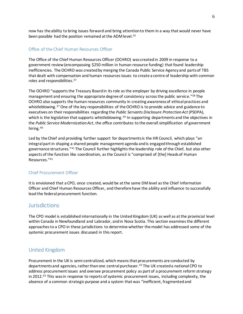now has the ability to bring issues forward and bring attention to them in a way that would never have been possible had the position remained at the ADM level. [35](#page-7-2)

#### Office of the Chief Human Resources Officer

The Office of the Chief Human Resources Officer (OCHRO) was created in 2009 in response to a government review (encompassing \$250 million in human resource funding) that found leadership inefficiencies. The OCHRO was created by merging the Canada Public Service Agency and parts of TBS that dealt with compensation and human resources issues to create a centre of leadership with common roles and responsibilities.<sup>37</sup>

<span id="page-8-2"></span>The OCHRO "supports the Treasury Board in its role as the employer by driving excellence in people management and ensuring the appropriate degree of consistency across the public service."<sup>38</sup> The OCHRO also supports the human resources community in creating awareness of ethical practices and whistleblowing.<sup>[37](#page-8-2)</sup> One of the key responsibilities of the OCHRO is to provide advice and guidance to executives on their responsibilities regarding the *Public Servants Disclosure Protection Act* (PSDPA), which is the legislation that supports whistleblowing.<sup>39</sup> In supporting departments and the objectives in the *Public Service Modernization Act*, the office contributes to the overall simplification of government hiring.<sup>40</sup>

<span id="page-8-3"></span>Led by the Chief and providing further support for departments is the HR Council, which plays "an integral part in shaping a shared people management agenda and is engaged through established governance structures."<sup>41</sup> The Council further highlights the leadership role of the Chief, but also other aspects of the function like coordination, as the Council is "comprised of [the] Heads of Human Resources."[41](#page-8-3)

#### Chief Procurement Officer

It is envisioned that a CPO, once created, would be at the same DM level as the Chief Information Officer and Chief Human Resources Officer, and therefore have the ability and influence to successfully lead the federal procurement function.

## <span id="page-8-0"></span>**Jurisdictions**

The CPO model is established internationally in the United Kingdom (UK) as well as at the provincial level within Canada in Newfoundland and Labrador, and in Nova Scotia. This section examines the different approaches to a CPO in these jurisdictions to determine whether the model has addressed some of the systemic procurement issues discussed in this report.

## <span id="page-8-1"></span>United Kingdom

Procurement in the UK is semi-centralized, which means that procurements are conducted by departments and agencies, rather than one central purchaser. <sup>42</sup> The UK created a national CPO to address procurement issues and oversee procurement policy as part of a procurement reform strategy in 2012.<sup>43</sup> This was in response to reports of systemic procurement issues, including complexity, the absence of a common strategic purpose and a system that was "inefficient, fragmented and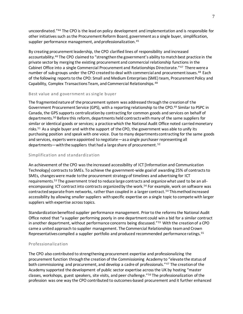uncoordinated."<sup>44</sup> The CPO is the lead on policy development and implementation and is responsible for other initiatives such as the Procurement Reform Board, government as a single buyer, simplification, supplier performance management, and professionalization.<sup>45</sup>

<span id="page-9-3"></span><span id="page-9-0"></span>By creating procurement leadership, the CPO clarified lines of responsibility and increased accountability.<sup>46</sup> The CPO claimed to "strengthen the government's ability to match best practice in the private sector by merging the existing procurement and commercial relationship functions in the Cabinet Office into a single Commercial Procurement and Relationships Directorate."<sup>47</sup> There were a number of sub-groups under the CPO created to deal with commercial and procurement issues.<sup>48</sup> Each of the following reports to the CPO: Small and Medium Enterprises (SME) team, Procurement Policy and Capability, Complex Transactions Team, and Commercial Relationships. [48](#page-9-0)

#### Best value and government as single buyer

The fragmented nature of the procurement system was addressed through the creation of the Government Procurement Service (GPS), with a reporting relationship to the CPO. <sup>49</sup> Similar to PSPC in Canada, the GPS supports centralization by contracting for common goods and services on behalf of departments.<sup>50</sup> Before this reform, departments held contracts with many of the same suppliers for similar or identical goods or services; a practice which the National Audit Office noted carriedmonetary risks.<sup>51</sup> As a single buyer and with the support of the CPO, the government was able to unify its purchasing position and speak with one voice. Due to many departments contracting for the same goods and services, experts were appointed to negotiate—as a single purchaser representing all departments—with the suppliers that had a large share of procurement. <sup>52</sup>

#### Simplification and standardization

<span id="page-9-1"></span>An achievement of the CPO was the increased accessibility of ICT [Information and Communication Technology] contracts to SMEs. To achieve the government-wide goal of awarding 25% of contracts to SMEs, changes were made tothe procurement strategy of timelines and advertising for ICT requirements. <sup>53</sup> The government tried to reduce large contracts and organize what used to be an allencompassing ICT contract into contracts organized by the work.<sup>54</sup> For example, work on software was contracted separate from networks, rather than coupled in a larger contract.<sup>[54](#page-9-1)</sup> This method increased accessibility by allowing smaller suppliers with specific expertise on a single topic to compete with larger suppliers with expertise across topics.

<span id="page-9-2"></span>Standardization benefited supplier performance management. Prior to the reforms the National Audit Office noted that "a supplier performing poorly in one department could win a bid for a similar contract in another department, without performance concerns being discussed."<sup>55</sup> With the creation of a CPO came a united approach to supplier management. The Commercial Relationships teamand Crown Representatives compiled a supplier portfolio and produced recommended performance ratings.[55](#page-9-2)

#### Professionalization

The CPO also contributed to strengthening procurement expertise and professionalizing the procurement function through the creation of the Commissioning Academy to "elevate the status of both commissioning and procurement, and develop a cadre of professionals."[47](#page-9-3) The creation of the Academy supported the development of public sector expertise across the UK by hosting "master classes, workshops, guest speakers, site visits, and peer challenge."<sup>56</sup> The professionalization of the profession was one way the CPO contributed to outcomes-based procurement and it further enhanced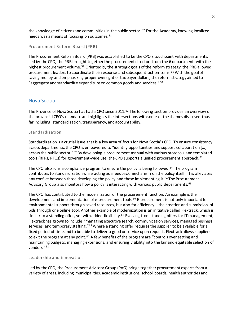the knowledge of citizens and communities in the public sector. <sup>57</sup> For the Academy, knowing localized needs was a means of focusing on outcomes.<sup>58</sup>

```
Procurement Reform Board (PRB)
```
<span id="page-10-1"></span>The Procurement Reform Board (PRB) was established to be the CPO's touchpoint with departments. Led by the CPO, the PRB brought together the procurement directors from the 6 departments with the highest procurement volume.<sup>59</sup> Oriented by the strategic goals of the reform strategy, the PRB allowed procurement leaders to coordinate their response and subsequent action items. [59](#page-10-1) With the goal of saving money and emphasizing proper oversight of tax payer dollars, the reform strategy aimed to "aggregate and standardize expenditure on common goods and services." $60$ 

## <span id="page-10-0"></span>Nova Scotia

The Province of Nova Scotia has had a CPO since 2011.<sup>61</sup> The following section provides an overview of the provincial CPO's mandate and highlights the intersections with some of the themes discussed thus far including, standardization, transparency, and accountability.

#### Standardization

Standardization is a crucial issue that is a key area of focus for Nova Scotia's CPO. To ensure consistency across departments, the CPO is empowered to "identify opportunities and support collaboration […] across the public sector."<sup>62</sup> By developing a procurement manual with various protocols and templated tools (RFPs, RFQs) for government-wide use, the CPO supports a unified procurement approach.<sup>63</sup>

<span id="page-10-2"></span>The CPO also runs a compliance program to ensure the policy is being followed. <sup>64</sup> The program contributes to standardizationwhile acting as a feedback mechanism on the policy itself. This alleviates any conflict between those developing the policy and those implementing it.<sup>[64](#page-10-2)</sup> The Procurement Advisory Group also monitors how a policy is interacting with various public departments.<sup>65</sup>

The CPO has contributed to the modernization of the procurement function. An example is the development and implementation of e-procurement tools.<sup>66</sup> E-procurement is not only important for environmental support through saved resources, but also for efficiency—the creation and submission of bids through one online tool. Another example of modernization is an initiative called Flextrack, which is similar to a standing offer, yet with added flexibility.<sup>67</sup> Evolving from standing offers for IT management, Flextrack has grown to include "managing executive search, communication services, managed business services, and temporary staffing."<sup>68</sup> Where a standing offer requires the supplier to be available for a fixed period of time and to be able to deliver a good or service upon request, Flextrack allows suppliers to exit the program at any point.<sup>69</sup> A few benefits of the program are "controls over setting and maintaining budgets, managing extensions, and ensuring visibility into the fair and equitable selection of vendors."[68](#page-10-3)

#### <span id="page-10-3"></span>Leadership and innovation

Led by the CPO, the Procurement Advisory Group (PAG) brings together procurement experts from a variety of areas, including municipalities, academic institutions, school boards, health authorities and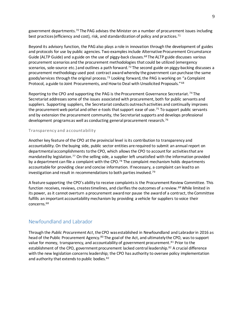government departments.<sup>70</sup> The PAG advises the Minister on a number of procurement issues including best practices (efficiency and cost), risk, and standardization of policy and practices.<sup>71</sup>

Beyond its advisory function, the PAG also plays a role in innovation through the development of guides and protocols for use by public agencies. Two examples include Alternative Procurement Circumstance Guide (ALTP Guide) and a guide on the use of piggy-back clauses.<sup>[68](#page-10-3)</sup> The ALTP guide discusses various procurement scenarios and the procurement methodologies that could be utilized (emergency scenarios, sole-source etc.) and outlines a path forward.<sup>72</sup> The second guide on piggy-backing discusses a procurement methodology used post contract award whereby the government can purchase the same goods/services through the original process.<sup>73</sup> Looking forward, the PAG is working on "a Complaint Protocol, a guide to Joint Procurements, and How to Deal with Unsolicited Proposals." [68](#page-10-3)

Reporting to the CPO and supporting the PAG is the Procurement Governance Secretariat.<sup>74</sup> The Secretariat addresses some of the issues associated with procurement, both for public servants and suppliers. Supporting suppliers, the Secretariat conducts outreach activities and continually improves the procurement web portal and other e-tools that support ease of use.<sup>75</sup> To support public servants and by extension the procurement community, the Secretariat supports and develops professional development programs as well as conducting general procurement research.<sup>76</sup>

#### Transparency and a ccountability

Another key feature of the CPO at the provincial level is its contribution to transparency and accountability. On the buying side, public sector entities are required to submit an annual report on departmental accomplishments tothe CPO, which allows the CPO to account for activities that are mandated by legislation.<sup>77</sup> On the selling side, a supplier left unsatisfied with the information provided by a department can file a complaint with the CPO.<sup>78</sup> The complaint mechanism holds departments accountable for providing clear and concise information. If necessary, a complaint can lead to an investigation and result in recommendations to both parties involved. <sup>79</sup>

A feature supporting the CPO's ability to receive complaints is the Procurement Review Committee. This function receives, reviews, creates timelines, and clarifies the outcomes of a review. [68](#page-10-3) While limited in its power, as it cannot overturn a procurement award nor pause the award of a contract, the Committee fulfills an important accountability mechanism by providing a vehicle for suppliers to voice their concerns.[68](#page-10-3)

## <span id="page-11-0"></span>Newfoundland and Labrador

<span id="page-11-1"></span>Through the *Public Procurement Act*, the CPO was established in Newfoundland and Labrador in 2016 as head of the Public Procurement Agency.<sup>80</sup> The goal of the Act, and ultimately the CPO, was to support value for money, transparency, and accountability of government procurement.<sup>81</sup> Prior to the establishment of the CPO, government procurement lacked central leadership.<sup>82</sup> A crucial difference with the new legislation concerns leadership; the CPO has authority to oversee policy implementation and authority that extends to public bodies. [82](#page-11-1)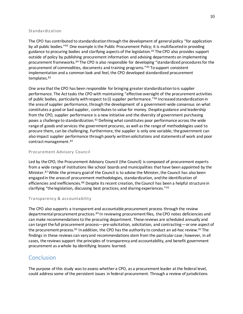#### Standardization

The CPO has contributed to standardization through the development of general policy "for application by all public bodies."<sup>83</sup> One example is the Public Procurement Policy; it is multifaceted in providing guidance to procuring bodies and clarifying aspects of the legislation.<sup>[82](#page-11-1)</sup> The CPO also provides support outside of policy by publishing procurement information and advising departments on implementing procurement frameworks.<sup>84</sup> The CPO is also responsible for developing "standardized procedures for the procurement of commodities, documents and training programs."<sup>85</sup> To support consistent implementation and a common look and feel, the CPO developed standardized procurement templates.[82](#page-11-1)

One area that the CPO has been responsible for bringing greater standardization to is supplier performance. The Act tasks the CPO with maintaining "effective oversight of the procurement activities of public bodies, particularly with respect to (i) supplier performance."<sup>86</sup> Increased standardization in the area of supplier performance, through the development of a government-wide consensus on what constitutes a good or bad supplier, contributes to value for money. Despite guidance and leadership from the CPO, supplier performance is a new initiative and the diversity of government purchasing poses a challenge to standardization.<sup>[82](#page-11-1)</sup> Defining what constitutes poor performance across the wide range of goods and services the government procures, as well as the range of methodologies used to procure them, can be challenging. Furthermore, the supplier is only one variable; the government can also impact supplier performance through poorly written solicitations and statements of work and poor contract management. [82](#page-11-1)

#### Procurement Advisory Council

Led by the CPO, the Procurement Advisory Council (the Council) is composed of procurement experts from a wide range of institutions like school boards and municipalities that have been appointed by the Minister. <sup>87</sup> While the primary goal of the Council is to advise the Minister, the Council has also been engaged in the areas of procurement methodologies, standardization, and the identification of efficiencies and inefficiencies.<sup>88</sup> Despite its recent creation, the Council has been a helpful structure in clarifying "the legislation, discussing best practices, and sharing experiences."[82](#page-11-1)

#### Transparency & accountability

The CPO also supports a transparent and accountable procurement process through the review departmental procurement practices.<sup>89</sup> In reviewing procurement files, the CPO notes deficiencies and can make recommendations to the procuring department. These reviews are scheduled annually and can target the full procurement process—pre-solicitation, solicitation, and contracting—or one aspect of the procurement process. <sup>[82](#page-11-1)</sup> In addition, the CPO has the authority to conduct an ad-hoc review. <sup>82</sup> The findings in these reviews can vary and recommendations stem from the particular case; however, in all cases, the reviews support the principles of transparency and accountability, and benefit government procurement as a whole by identifying lessons learned.

# <span id="page-12-0"></span>Conclusion

The purpose of this study was to assess whether a CPO, as a procurement leader at the federal level, could address some of the persistent issues in federal procurement. Through a review of jurisdictions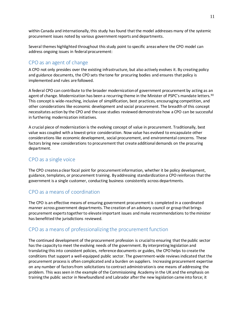within Canada and internationally, this study has found that the model addresses many of the systemic procurement issues noted by various government reports and departments.

Several themes highlighted throughout this study point to specific areas where the CPO model can address ongoing issues in federal procurement:

# <span id="page-13-0"></span>CPO as an agent of change

A CPO not only presides over the existing infrastructure, but also actively evolves it. By creating policy and guidance documents, the CPO sets the tone for procuring bodies and ensures that policy is implemented and rules are followed.

A federal CPO can contribute to the broader modernization of government procurement by acting as an agent of change. Modernization has been a recurring theme in the Minister of PSPC's mandate letters.<sup>90</sup> This concept is wide-reaching, inclusive of simplification, best practices, encouraging competition, and other considerations like economic development and social procurement. The breadth of this concept necessitates action by the CPO and the case studies reviewed demonstrate how a CPO can be successful in furthering modernization initiatives.

A crucial piece of modernization is the evolving concept of value in procurement. Traditionally, best value was coupled with a lowest-price consideration. Now value has evolved to encapsulate other considerations like economic development, social procurement, and environmental concerns. These factors bring new considerations to procurement that create additional demands on the procuring department.

## <span id="page-13-1"></span>CPO as a single voice

The CPO creates a clear focal point for procurement information, whether it be policy development, guidance, templates, or procurement training. By addressing standardizationa CPO reinforces that the government is a single customer, conducting business consistently across departments.

# <span id="page-13-2"></span>CPO as a means of coordination

The CPO is an effective means of ensuring government procurement is completed in a coordinated manner across government departments. The creation of an advisory council or group that brings procurement experts together to elevate important issues and make recommendations to the minister has benefitted the jurisdictions reviewed.

# <span id="page-13-3"></span>CPO as a means of professionalizing the procurement function

The continued development of the procurement profession is crucial to ensuring that the public sector has the capacity to meet the evolving needs of the government. By interpreting legislation and translating this into consistent policies, reference documents or guides, the CPO helps to create the conditions that support a well-equipped public sector. The government-wide reviewsindicated that the procurement process is often complicated and a burden on suppliers. Increasing procurement expertise on any number of factors from solicitations to contract administration is one means of addressing the problem. This was seen in the example of the Commissioning Academy in the UK and the emphasis on training the public sector in Newfoundland and Labrador after the new legislation came into force; it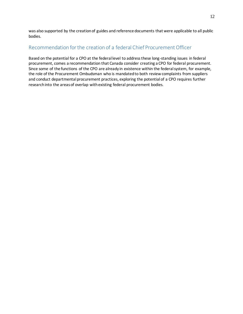was also supported by the creation of guides and reference documents that were applicable to all public bodies.

# <span id="page-14-0"></span>Recommendation for the creation of a federal Chief Procurement Officer

Based on the potential for a CPO at the federal level to address these long-standing issues in federal procurement, comes a recommendation that Canada consider creating a CPO for federal procurement. Since some of the functions of the CPO are already in existence within the federal system, for example, the role of the Procurement Ombudsman who is mandated to both review complaints from suppliers and conduct departmental procurement practices, exploring the potential of a CPO requires further research into the areasof overlap withexisting federal procurement bodies.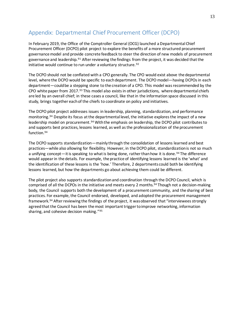# <span id="page-15-0"></span>Appendix: Departmental Chief Procurement Officer (DCPO)

In February 2019, the Office of the Comptroller General (OCG) launched a Departmental Chief Procurement Officer (DCPO) pilot project to explore the benefits of a more structured procurement governance model and provide concrete feedback to steer the direction of new models of procurement governance and leadership.<sup>91</sup> After reviewing the findings from the project, it was decided that the initiative would continue to run under a voluntary structure. <sup>92</sup>

The DCPO should not be conflated with a CPO generally. The CPO would exist above the departmental level, where the DCPO would be specific to each department. The DCPO model—having DCPOs in each department—could be a stepping stone to the creation of a CPO. This model was recommended by the CPO white paper from 2017.<sup>93</sup> This model also exists in other jurisdictions, where departmental chiefs are led by an overall chief; in these cases a council, like that in the information space discussed in this study, brings together each of the chiefs to coordinate on policy and initiatives.

<span id="page-15-1"></span>The DCPO pilot project addresses issues in leadership, planning, standardization, and performance monitoring.<sup>94</sup> Despite its focus at the departmental level, the initiative explores the impact of a new leadership model on procurement.[94](#page-15-1) With the emphasis on leadership, the DCPO pilot contributes to and supports best practices, lessons learned, as well as the professionalization of the procurement function.[94](#page-15-1)

The DCPO supports standardization—mainly through the consolidation of lessons learned and best practices—while also allowing for flexibility. However, in the DCPO pilot, standardization is not so much a unifying concept—it is speaking to what is being done, rather than how it is done. <sup>[94](#page-15-1)</sup> The difference would appear in the details. For example, the practice of identifying lessons learned is the 'what' and the identification of these lessons is the 'how.' Therefore, 2 departments could both be identifying lessons learned, but how the departments go about achieving them could be different.

The pilot project also supports standardization and coordination through the DCPO Council, which is comprised of all the DCPOs in the initiative and meets every 2 months.<sup>[94](#page-15-1)</sup> Though not a decision-making body, the Council supports both the development of a procurement community, and the sharing of best practices. For example, the Council endorsed, developed, and adopted the procurement management framework.[94](#page-15-1) After reviewing the findings of the project, it was observed that "interviewees strongly agreed that the Council has been the most important trigger to improve networking, information sharing, and cohesive decision making."95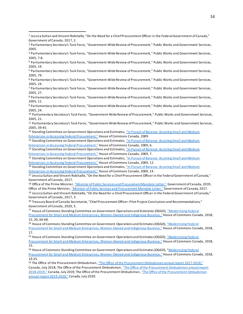l

<sup>6</sup> Parliamentary Secretary's Task Force, "Government-Wide Review of Procurement," Public Works and Government Services, 2005, 24.

14 Standing Committee on Government Operations and Estimates, "In Pursuit of Balance: Assisting Small and Medium [Enterprises in Accessing Federal Procurement,"](https://www.ourcommons.ca/Content/Committee/402/OGGO/Reports/RP4001862/402_OGGO_Rpt07/402_OGGO_Rpt07-e.pdf) House of Commons Canada, 2009, 7.

<sup>15</sup> Standing Committee on Government Operations and Estimates, ["In Pursuit of Balance: Assisting Small and Medium](https://www.ourcommons.ca/Content/Committee/402/OGGO/Reports/RP4001862/402_OGGO_Rpt07/402_OGGO_Rpt07-e.pdf)  [Enterprises in Accessing Federal Procurement,"](https://www.ourcommons.ca/Content/Committee/402/OGGO/Reports/RP4001862/402_OGGO_Rpt07/402_OGGO_Rpt07-e.pdf) House of Commons Canada, 2009, 12.

<sup>16</sup> Standing Committee on Government Operations and Estimates, "In Pursuit of Balance: Assisting Small and Medium [Enterprises in Accessing Federal Procurement,"](https://www.ourcommons.ca/Content/Committee/402/OGGO/Reports/RP4001862/402_OGGO_Rpt07/402_OGGO_Rpt07-e.pdf) House of Commons Canada, 2009, 14.

<sup>17</sup> Jessica Sultan and Vincent Robitaille, "On the Need for a Chief Procurement Officer in the Federal Government of Canada," Government of Canada, 2017.

18 Office of the Prime Minister, ["Minister of Public Services and Procurement Mandate Letter,"](https://pm.gc.ca/en/mandate-letters/2019/12/13/minister-public-services-and-procurement-mandate-letter) Government of Canada, 2019; Office of the Prime Minister, ["Minister of Public Services and Procurement Mandate Letter,"](https://pm.gc.ca/en/mandate-letters/2017/10/04/archived-minister-public-services-and-procurement-mandate-letter) Government of Canada, 2017. <sup>19</sup> Jessica Sultan and Vincent Robitaille, "On the Need for a Chief Procurement Officer in the Federal Government of Canada," Government of Canada, 2017, 3.

<sup>20</sup> Treasury Board of Canada Secretariat, "Chief Procurement Officer: Pilot Project Conclusions and Recommendations," Government of Canada, 2020, 5.

<sup>21</sup> House of Commons Standing Committee on Government Operations and Estimates (OGGO), "Modernizing Federal

[Procurement for Small and Medium Enterprises, Women-](https://www.ourcommons.ca/Content/Committee/421/OGGO/Reports/RP9996115/oggorp15/oggorp15-e.pdf)Owned and Indigenous Business," House of Commons Canada*,* 2018, 15, 20, 66-68.

<sup>22</sup> House of Commons Standing Committee on Government Operations and Estimates (OGGO), "Modernizing Federal [Procurement for Small and Medium Enterprises, Women-](https://www.ourcommons.ca/Content/Committee/421/OGGO/Reports/RP9996115/oggorp15/oggorp15-e.pdf)Owned and Indigenous Business," House of Commons Canada*,* 2018, 17.

<sup>23</sup> House of Commons Standing Committee on Government Operations and Estimates (OGGO), "Modernizing Federal [Procurement for Small and Medium Enterprises, Women-](https://www.ourcommons.ca/Content/Committee/421/OGGO/Reports/RP9996115/oggorp15/oggorp15-e.pdf)Owned and Indigenous Business," House of Commons Canada, 2018, 15.

<sup>24</sup> House of Commons Standing Committee on Government Operations and Estimates (OGGO), "Modernizing Federal [Procurement for Small and Medium Enterprises, Women-](https://www.ourcommons.ca/Content/Committee/421/OGGO/Reports/RP9996115/oggorp15/oggorp15-e.pdf)Owned and Indigenous Business," House of Commons Canada, 2018, 19-25.

<sup>25</sup> The Office of the Procurement Ombudsman, ["The Office of the Procurement Ombudsman annual report 2017](http://opo-boa.gc.ca/rapports-reports/2017-2018/index-eng.html)-2018," Canada, July 2018[; The Office of the Procurement Ombudsman](http://opo-boa.gc.ca/rapports-reports/2018-2019/index-eng.html), ["The Office of the Procurement Ombudsman annual report](http://opo-boa.gc.ca/rapports-reports/2018-2019/index-eng.html)  2018-[2019,"](http://opo-boa.gc.ca/rapports-reports/2018-2019/index-eng.html) Canada, July 2019[; The Office of the Procurement Ombudsman](http://opo-boa.gc.ca/rapports-reports/2019-2020/index-eng.html), ["The Office of the Procurement](http://opo-boa.gc.ca/rapports-reports/2019-2020/index-eng.html) Ombudsman [annual report 2019-](http://opo-boa.gc.ca/rapports-reports/2019-2020/index-eng.html)2020," Canada, July 2020.

<sup>1</sup> Jessica Sultan and Vincent Robitaille, "On the Need for a Chief Procurement Officer in the Federal Government of Canada," Government of Canada, 2017, 2.

<sup>2</sup> Parliamentary Secretary's Task Force, "Government-Wide Review of Procurement," Public Works and Government Services, 2005.

<sup>3</sup> Parliamentary Secretary's Task Force, "Government-Wide Review of Procurement," Public Works and Government Services, 2005, 7-8.

<sup>4</sup> Parliamentary Secretary's Task Force, "Government-Wide Review of Procurement," Public Works and Government Services, 2005, 19.

<sup>5</sup> Parliamentary Secretary's Task Force, "Government-Wide Review of Procurement," Public Works and Government Services, 2005, 79.

<sup>7</sup> Parliamentary Secretary's Task Force, "Government-Wide Review of Procurement," Public Works and Government Services, 2005, 27.

<sup>8</sup> Parliamentary Secretary's Task Force, "Government-Wide Review of Procurement," Public Works and Government Services, 2005, 11.

<sup>9</sup> Parliamentary Secretary's Task Force, "Government-Wide Review of Procurement," Public Works and Government Services, 2005, 24.

<sup>&</sup>lt;sup>10</sup> Parliamentary Secretary's Task Force, "Government-Wide Review of Procurement," Public Works and Government Services, 2005, 21.

<sup>11</sup> Parliamentary Secretary's Task Force, "Government-Wide Review of Procurement," Public Works and Government Services, 2005, 39-45.

<sup>&</sup>lt;sup>12</sup> Standing Committee on Government Operations and Estimates, "In Pursuit of Balance: Assisting Small and Medium [Enterprises in Accessing Federal Procurement,"](https://www.ourcommons.ca/Content/Committee/402/OGGO/Reports/RP4001862/402_OGGO_Rpt07/402_OGGO_Rpt07-e.pdf) House of Commons Canada, 2009.

<sup>13</sup> Standing Committee on Government Operations and Estimates, "In Pursuit of Balance: Assisting Small and Medium [Enterprises in Accessing Fe](https://www.ourcommons.ca/Content/Committee/402/OGGO/Reports/RP4001862/402_OGGO_Rpt07/402_OGGO_Rpt07-e.pdf)deral Procurement," House of Commons Canada, 2009, 6.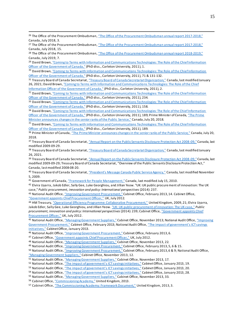<sup>26</sup> The Office of the Procurement Ombudsman, ["The Office of the Procurement Ombudsman annual report 2017](http://opo-boa.gc.ca/rapports-reports/2017-2018/index-eng.html)-2018," Canada, July 2018, 3.

l

<sup>27</sup> The Office of the Procurement Ombudsman, ["The Office of the Procurement Ombudsman annual report 2017](http://opo-boa.gc.ca/rapports-reports/2017-2018/index-eng.html)-2018," Canada, July 2018, 15.

<sup>28</sup> The Office of the Procurement Ombudsman, ["The Office of the Procurement Ombudsman annual report 2018](http://opo-boa.gc.ca/rapports-reports/2018-2019/index-eng.html)-2019," Canada, July 2019, 7.

<sup>29</sup> David Brown, "Coming to Terms with Information and Communications Technologies: The Role of the Chief Information [Officer of the Government of Canada,"](https://curve.carleton.ca/system/files/etd/2193035b-78b5-48bf-9049-cf9b5011363b/etd_pdf/a24ffbe416492bc4917c172eb337ca68/brown-comingtotermswithinformationandcommunications.pdf) (PhD diss., Carleton University, 2011), 1.

<sup>30</sup> David Brown, "Coming to Terms with Information and Communications Technologies: The Role of the Chief Information [Officer of the Government of Canada,"](https://curve.carleton.ca/system/files/etd/2193035b-78b5-48bf-9049-cf9b5011363b/etd_pdf/a24ffbe416492bc4917c172eb337ca68/brown-comingtotermswithinformationandcommunications.pdf) (PhD diss., Carleton University, 2011), 71 & 131-132.

31 Treasury Board of Canada Secretariat, ["Treasury Board of Canada Secretariat Organization,"](https://www.canada.ca/en/treasury-board-secretariat/corporate/organization.html#ochro) Canada, last modified January 26, 2021; David Brown[, "Coming to Terms with Information and Communications Technologies: The Role of the Chief](https://curve.carleton.ca/system/files/etd/2193035b-78b5-48bf-9049-cf9b5011363b/etd_pdf/a24ffbe416492bc4917c172eb337ca68/brown-comingtotermswithinformationandcommunications.pdf)  [Information Officer of the Government of Canada,"](https://curve.carleton.ca/system/files/etd/2193035b-78b5-48bf-9049-cf9b5011363b/etd_pdf/a24ffbe416492bc4917c172eb337ca68/brown-comingtotermswithinformationandcommunications.pdf) (PhD diss., Carleton University, 2011), 2.

<sup>32</sup> David Brown, "Coming to Terms with Information and Communications Technologies: The Role of the Chief Information [Officer of the Government of Canada,"](https://curve.carleton.ca/system/files/etd/2193035b-78b5-48bf-9049-cf9b5011363b/etd_pdf/a24ffbe416492bc4917c172eb337ca68/brown-comingtotermswithinformationandcommunications.pdf) (PhD diss., Carleton University, 2011), 234.

33 David Brown, "Coming to Terms with Information and Communications Technologies: The Role of the Chief Information [Officer of the Government of Canada,"](https://curve.carleton.ca/system/files/etd/2193035b-78b5-48bf-9049-cf9b5011363b/etd_pdf/a24ffbe416492bc4917c172eb337ca68/brown-comingtotermswithinformationandcommunications.pdf) (PhD diss., Carleton University, 2011), 158.

<sup>34</sup> David Brown, "Coming to Terms with Information and Communications Technologies: The Role of the Chief Information [Officer of the Government of Canada,"](https://curve.carleton.ca/system/files/etd/2193035b-78b5-48bf-9049-cf9b5011363b/etd_pdf/a24ffbe416492bc4917c172eb337ca68/brown-comingtotermswithinformationandcommunications.pdf) (PhD diss., Carleton University, 2011), 189; Prime Minister of Canada, "The Prime [Minister announces changes in the senior ranks of the Public](https://pm.gc.ca/en/news/news-releases/2018/07/20/prime-minister-announces-changes-senior-ranks-public-service) Service," Canada, July 20, 2018.

<sup>35</sup> David Brown, "Coming to Terms with Information and Communications Technologies: The Role of the Chief Information [Officer of the Government of Canada,"](https://curve.carleton.ca/system/files/etd/2193035b-78b5-48bf-9049-cf9b5011363b/etd_pdf/a24ffbe416492bc4917c172eb337ca68/brown-comingtotermswithinformationandcommunications.pdf) (PhD diss., Carleton University, 2011), 189.

<sup>36</sup> Prime Minister of Canada, ["The Prime Minister announces changes in the senior ranks of](https://pm.gc.ca/en/news/news-releases/2018/07/20/prime-minister-announces-changes-senior-ranks-public-service) the Public Service," Canada, July 20, 2018.

<sup>37</sup> Treasury Board of Canada Secretariat, "[Annual Report on the Public Servants Disclosure Protection Act 2008-](https://www.tbs-sct.gc.ca/rp/08-09/psdpa-pfdar04-eng.asp)09," Canada, last modified 2009-09-29.

38 Treasury Board of Canada Secretariat, ["Treasury Board of Canada Secretariat Organization,"](https://www.canada.ca/en/treasury-board-secretariat/corporate/organization.html#ochro) Canada, last modified January 26, 2021.

<sup>39</sup> [Treasury Board of Canada Secretariat](https://www.tbs-sct.gc.ca/rp/08-09/psdpa-pfdar04-eng.asp), "[Annual Report on the Public Servants Disclosure Protection Act 2008-](https://www.tbs-sct.gc.ca/rp/08-09/psdpa-pfdar04-eng.asp)09," Canada, last modified 2009-09-29[; Treasury Board of Canada Secretariat](https://www.tbs-sct.gc.ca/rp/08-09/psdpa-pfdar04-eng.asp), "Overview of the Public Servants Disclosure Protection Act," Canada, last modified 2008-08-20.

40 Treasury Board of Canada Secretariat, ["President's Message Canada Public Service Agency,"](https://www.tbs-sct.gc.ca/dpr-rmr/2008-2009/inst/hrh/hrh01-eng.asp) Canada, last modified November 5, 2009.

<sup>41</sup> Government of Canada, ["Framework for People Management,"](https://www.tbs-sct.gc.ca/pol/doc-eng.aspx?id=19134) Canada, last modified July 15, 2010.

42 Elvira Uyarra, Jakob Edler, Sally Gee, Luke Georghiou, and Jillian Yeow. "UK: UK public procurement of innovation: The UK case," *Public procurement, innovation and policy: International perspectives* (2014): 237.

43 National Audit Office, ["Improving Government Procurement,"](https://www.nao.org.uk/wp-content/uploads/2013/03/government-proc-full-report.pdf) Cabinet Office, February 2013, 14. Cabinet Office, ["Government appoints Chief Procurement Officer,"](https://www.gov.uk/government/news/government-appoints-chief-procurement-officer.) UK, July 2012.

44 HM Treasury, ["Operational Efficiency Programme: Collaborative Procurement,"](https://delta.bipsolutions.com/docstore/pdf/25937_8.pdf) United Kingdom, 2009, 21; Elvira Uyarra, Jakob Edler, Sally Gee, Luke Georghiou, and Jillian Yeow[. "UK: UK public procurement of innovation: The UK case,"](https://link.springer.com/chapter/10.1007/978-3-642-40258-6_12) *Public procurement, innovation and policy: International perspectives* (2014): 239; Cabinet Office, ["Government appoints Chief](https://www.gov.uk/government/news/government-appoints-chief-procurement-officer.)  [Procurement Officer,"](https://www.gov.uk/government/news/government-appoints-chief-procurement-officer.) UK, July 2012.

45 National Audit Office, ["Managing Government Suppliers,"](https://www.nao.org.uk/wp-content/uploads/2013/11/10298-001-Governments-managing-contractors-HC-811.pdf) Cabinet Office, November 2013; National Audit Office, "Improving Government [Procurement,"](https://www.nao.org.uk/wp-content/uploads/2013/03/government-proc-full-report.pdf) Cabinet Office, February 2013; National Audit Office, ["The impact of government's ICT savings](https://www.nao.org.uk/wp-content/uploads/2013/03/ICT-savings-Full-report.pdf)  [initiatives](https://www.nao.org.uk/wp-content/uploads/2013/03/ICT-savings-Full-report.pdf)," Cabinet Office, January 2013.

46 National Audit Office, ["Improving Government Procurement,"](https://www.nao.org.uk/wp-content/uploads/2013/03/government-proc-full-report.pdf) Cabinet Office, February 2013, 6.

<sup>47</sup> Cabinet Office, ["Government appoints Chief Procurement Officer,"](https://www.gov.uk/government/news/government-appoints-chief-procurement-officer.) UK, July 2012.

48 National Audit Office, ["Managing Government Suppliers,"](https://www.nao.org.uk/wp-content/uploads/2013/11/10298-001-Governments-managing-contractors-HC-811.pdf) Cabinet Office, November 2013, 22.

49 National Audit Office, ["Improving Government Procurement,"](https://www.nao.org.uk/wp-content/uploads/2013/03/government-proc-full-report.pdf) Cabinet Office, February 2013, 5, 6 & 15.

50 National Audit Office, ["Improving Government Procurement,"](https://www.nao.org.uk/wp-content/uploads/2013/03/government-proc-full-report.pdf) Cabinet Office, February 2013, 6 & 9; National Audit Office,

["Managing Government Suppliers,"](https://www.nao.org.uk/wp-content/uploads/2013/11/10298-001-Governments-managing-contractors-HC-811.pdf) Cabinet Office, November 2013, 12.

51 National Audit Office, ["Managing Government Suppliers,"](https://www.nao.org.uk/wp-content/uploads/2013/11/10298-001-Governments-managing-contractors-HC-811.pdf) Cabinet Office, November 2013, 17.

52 National Audit Office, ["The impact of government's ICT savings initiatives,"](https://www.nao.org.uk/wp-content/uploads/2013/03/ICT-savings-Full-report.pdf) Cabinet Office, January 2013, 19.

- <sup>53</sup> National Audit Office, ["The impact of government's ICT savings initiatives,"](https://www.nao.org.uk/wp-content/uploads/2013/03/ICT-savings-Full-report.pdf) Cabinet Office, January 2013, 20.
- 54 National Audit Office, ["The impact of government's ICT savings initiatives,"](https://www.nao.org.uk/wp-content/uploads/2013/03/ICT-savings-Full-report.pdf) Cabinet Office, January 2013, 28.

55 National Audit Office, ["Managing Government Suppliers,"](https://www.nao.org.uk/wp-content/uploads/2013/11/10298-001-Governments-managing-contractors-HC-811.pdf) Cabinet Office, November 2013, 33.

56 Cabinet Office, ["Commissioning Academy,"](https://www.gov.uk/guidance/the-commissioning-academy-information) United Kingdom, 2013.

57 Cabinet Office, ["The Commissioning Academy: Framework Document,"](https://www.gov.uk/government/publications/the-commissioning-academy-framework-document) United Kingdom, 2013, 3.